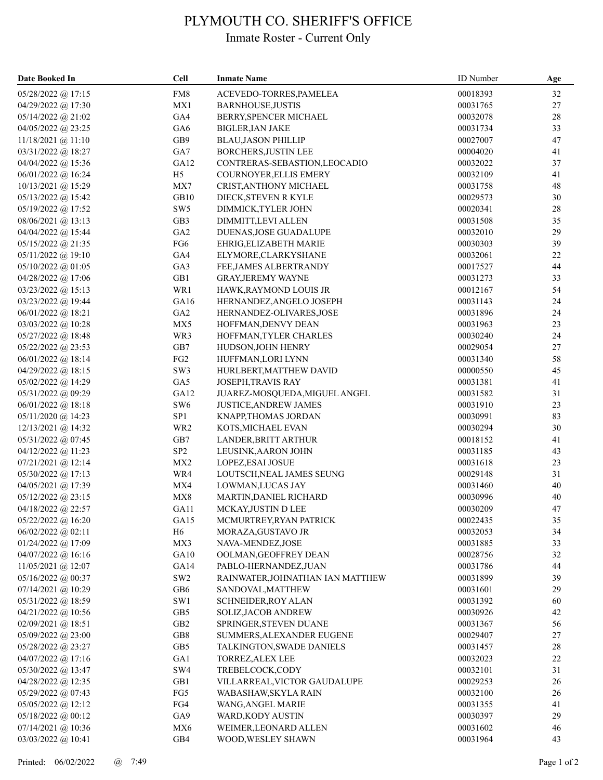## PLYMOUTH CO. SHERIFF'S OFFICE

## Inmate Roster - Current Only

| Date Booked In       | <b>Cell</b>     | <b>Inmate Name</b>               | <b>ID</b> Number | Age    |
|----------------------|-----------------|----------------------------------|------------------|--------|
| 05/28/2022 @ 17:15   | FM8             | ACEVEDO-TORRES, PAMELEA          | 00018393         | 32     |
| 04/29/2022 @ 17:30   | MX1             | BARNHOUSE, JUSTIS                | 00031765         | $27\,$ |
| $05/14/2022$ @ 21:02 | GA4             | BERRY, SPENCER MICHAEL           | 00032078         | $28\,$ |
| 04/05/2022 @ 23:25   | GA6             | <b>BIGLER, IAN JAKE</b>          | 00031734         | 33     |
| $11/18/2021$ @ 11:10 | GB9             | <b>BLAU, JASON PHILLIP</b>       | 00027007         | 47     |
| $03/31/2022$ @ 18:27 | GA7             | <b>BORCHERS, JUSTIN LEE</b>      | 00004020         | 41     |
| 04/04/2022 @ 15:36   | GA12            | CONTRERAS-SEBASTION, LEOCADIO    | 00032022         | 37     |
| 06/01/2022 @ 16:24   | H <sub>5</sub>  | COURNOYER, ELLIS EMERY           | 00032109         | 41     |
| $10/13/2021$ @ 15:29 | MX7             | CRIST, ANTHONY MICHAEL           | 00031758         | 48     |
| 05/13/2022 @ 15:42   | GB10            | DIECK, STEVEN R KYLE             | 00029573         | 30     |
| 05/19/2022 @ 17:52   | SW <sub>5</sub> | DIMMICK, TYLER JOHN              | 00020341         | 28     |
| 08/06/2021 @ 13:13   | GB <sub>3</sub> | DIMMITT,LEVI ALLEN               | 00031508         | 35     |
| 04/04/2022 @ 15:44   | GA <sub>2</sub> | DUENAS, JOSE GUADALUPE           | 00032010         | 29     |
| $05/15/2022$ @ 21:35 | FG6             | EHRIG, ELIZABETH MARIE           | 00030303         | 39     |
| $05/11/2022$ @ 19:10 | GA4             | ELYMORE, CLARKYSHANE             | 00032061         | 22     |
| $05/10/2022$ @ 01:05 | GA3             | FEE, JAMES ALBERTRANDY           | 00017527         | 44     |
| 04/28/2022 @ 17:06   | GB1             | <b>GRAY, JEREMY WAYNE</b>        | 00031273         | 33     |
| $03/23/2022$ @ 15:13 | WR1             | HAWK, RAYMOND LOUIS JR           | 00012167         | 54     |
| 03/23/2022 @ 19:44   | GA16            | HERNANDEZ, ANGELO JOSEPH         | 00031143         | 24     |
| 06/01/2022 @ 18:21   | GA <sub>2</sub> | HERNANDEZ-OLIVARES, JOSE         | 00031896         | 24     |
| 03/03/2022 @ 10:28   | MX5             | HOFFMAN, DENVY DEAN              | 00031963         | 23     |
| 05/27/2022 @ 18:48   | WR3             | HOFFMAN, TYLER CHARLES           | 00030240         | 24     |
| 05/22/2022 @ 23:53   | GB7             | HUDSON, JOHN HENRY               | 00029054         | 27     |
| $06/01/2022$ @ 18:14 | FG <sub>2</sub> | HUFFMAN, LORI LYNN               | 00031340         | 58     |
| $04/29/2022$ @ 18:15 | SW3             | HURLBERT, MATTHEW DAVID          | 00000550         | 45     |
| 05/02/2022 @ 14:29   | GA5             | JOSEPH, TRAVIS RAY               | 00031381         | 41     |
| 05/31/2022 @ 09:29   | GA12            | JUAREZ-MOSQUEDA, MIGUEL ANGEL    | 00031582         | 31     |
| 06/01/2022 @ 18:18   | SW <sub>6</sub> | <b>JUSTICE, ANDREW JAMES</b>     | 00031910         | 23     |
| $05/11/2020$ @ 14:23 | SP <sub>1</sub> | KNAPP, THOMAS JORDAN             | 00030991         | 83     |
| $12/13/2021$ @ 14:32 | WR <sub>2</sub> | KOTS, MICHAEL EVAN               | 00030294         | 30     |
| 05/31/2022 @ 07:45   | GB7             | LANDER, BRITT ARTHUR             | 00018152         | 41     |
| 04/12/2022 @ 11:23   | SP <sub>2</sub> | LEUSINK, AARON JOHN              | 00031185         | 43     |
| $07/21/2021$ @ 12:14 | MX <sub>2</sub> | LOPEZ, ESAI JOSUE                | 00031618         | 23     |
| $05/30/2022$ @ 17:13 | WR4             | LOUTSCH, NEAL JAMES SEUNG        | 00029148         | 31     |
| 04/05/2021 @ 17:39   | MX4             | LOWMAN, LUCAS JAY                | 00031460         | 40     |
| $05/12/2022$ @ 23:15 | MX8             | MARTIN, DANIEL RICHARD           | 00030996         | 40     |
| 04/18/2022 @ 22:57   | GA11            | MCKAY, JUSTIN D LEE              | 00030209         | 47     |
| 05/22/2022 @ 16:20   | GA15            | MCMURTREY, RYAN PATRICK          | 00022435         | 35     |
| 06/02/2022 @ 02:11   | H <sub>6</sub>  | MORAZA, GUSTAVO JR               | 00032053         | 34     |
| 01/24/2022 @ 17:09   | MX3             | NAVA-MENDEZ, JOSE                | 00031885         | 33     |
| 04/07/2022 @ 16:16   | GA10            | OOLMAN, GEOFFREY DEAN            | 00028756         | $32\,$ |
| 11/05/2021 @ 12:07   | GA14            | PABLO-HERNANDEZ, JUAN            | 00031786         | 44     |
| 05/16/2022 @ 00:37   | SW <sub>2</sub> | RAINWATER, JOHNATHAN IAN MATTHEW | 00031899         | 39     |
| 07/14/2021 @ 10:29   | GB6             | SANDOVAL, MATTHEW                | 00031601         | 29     |
| 05/31/2022 @ 18:59   | SW1             | SCHNEIDER, ROY ALAN              | 00031392         | 60     |
| 04/21/2022 @ 10:56   | GB5             | SOLIZ, JACOB ANDREW              | 00030926         | 42     |
| $02/09/2021$ @ 18:51 | GB2             | SPRINGER, STEVEN DUANE           | 00031367         | 56     |
| 05/09/2022 @ 23:00   | GB8             | SUMMERS, ALEXANDER EUGENE        | 00029407         | 27     |
| 05/28/2022 @ 23:27   | GB5             | TALKINGTON, SWADE DANIELS        | 00031457         | $28\,$ |
| 04/07/2022 @ 17:16   | GA1             | <b>TORREZ, ALEX LEE</b>          | 00032023         | 22     |
| 05/30/2022 @ 13:47   | SW4             | TREBELCOCK,CODY                  | 00032101         | 31     |
| 04/28/2022 @ 12:35   | GB1             | VILLARREAL, VICTOR GAUDALUPE     | 00029253         | 26     |
| 05/29/2022 @ 07:43   | FG5             | WABASHAW, SKYLA RAIN             | 00032100         | 26     |
| $05/05/2022$ @ 12:12 | FG4             | WANG, ANGEL MARIE                | 00031355         | 41     |
| 05/18/2022 @ 00:12   | GA9             | WARD, KODY AUSTIN                | 00030397         | 29     |
| 07/14/2021 @ 10:36   | MX6             | WEIMER, LEONARD ALLEN            | 00031602         | 46     |
| 03/03/2022 @ 10:41   | GB4             | WOOD, WESLEY SHAWN               | 00031964         | 43     |